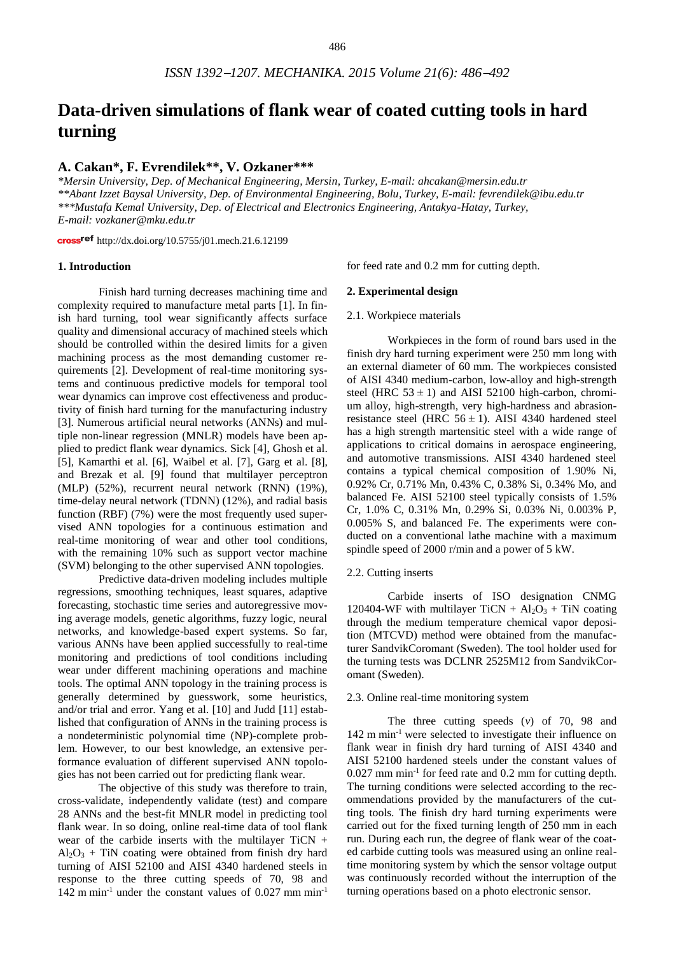# **Data-driven simulations of flank wear of coated cutting tools in hard turning**

## **A. Cakan\*, F. Evrendilek\*\*, V. Ozkaner\*\*\***

*\*Mersin University, Dep. of Mechanical Engineering, Mersin, Turkey, E-mail: ahcakan@mersin.edu.tr \*\*Abant Izzet Baysal University, Dep. of Environmental Engineering, Bolu, Turkey, E-mail: fevrendilek@ibu.edu.tr \*\*\*Mustafa Kemal University, Dep. of Electrical and Electronics Engineering, Antakya-Hatay, Turkey, E-mail: vozkaner@mku.edu.tr*

cross<sup>ref</sup> <http://dx.doi.org/10.5755/j01.mech.21.6.12199>

### **1. Introduction**

Finish hard turning decreases machining time and complexity required to manufacture metal parts [1]. In finish hard turning, tool wear significantly affects surface quality and dimensional accuracy of machined steels which should be controlled within the desired limits for a given machining process as the most demanding customer requirements [2]. Development of real-time monitoring systems and continuous predictive models for temporal tool wear dynamics can improve cost effectiveness and productivity of finish hard turning for the manufacturing industry [3]. Numerous artificial neural networks (ANNs) and multiple non-linear regression (MNLR) models have been applied to predict flank wear dynamics. Sick [4], Ghosh et al. [5], Kamarthi et al. [6], Waibel et al. [7], Garg et al. [8], and Brezak et al. [9] found that multilayer perceptron (MLP) (52%), recurrent neural network (RNN) (19%), time-delay neural network (TDNN) (12%), and radial basis function (RBF) (7%) were the most frequently used supervised ANN topologies for a continuous estimation and real-time monitoring of wear and other tool conditions, with the remaining 10% such as support vector machine (SVM) belonging to the other supervised ANN topologies.

Predictive data-driven modeling includes multiple regressions, smoothing techniques, least squares, adaptive forecasting, stochastic time series and autoregressive moving average models, genetic algorithms, fuzzy logic, neural networks, and knowledge-based expert systems. So far, various ANNs have been applied successfully to real-time monitoring and predictions of tool conditions including wear under different machining operations and machine tools. The optimal ANN topology in the training process is generally determined by guesswork, some heuristics, and/or trial and error. Yang et al. [10] and Judd [11] established that configuration of ANNs in the training process is a nondeterministic polynomial time (NP)-complete problem. However, to our best knowledge, an extensive performance evaluation of different supervised ANN topologies has not been carried out for predicting flank wear.

The objective of this study was therefore to train, cross-validate, independently validate (test) and compare 28 ANNs and the best-fit MNLR model in predicting tool flank wear. In so doing, online real-time data of tool flank wear of the carbide inserts with the multilayer  $TiCN +$  $Al_2O_3$  + TiN coating were obtained from finish dry hard turning of AISI 52100 and AISI 4340 hardened steels in response to the three cutting speeds of 70, 98 and 142 m min<sup>-1</sup> under the constant values of  $0.027$  mm min<sup>-1</sup>

for feed rate and 0.2 mm for cutting depth.

#### **2. Experimental design**

#### 2.1. Workpiece materials

Workpieces in the form of round bars used in the finish dry hard turning experiment were 250 mm long with an external diameter of 60 mm. The workpieces consisted of AISI 4340 medium-carbon, low-alloy and high-strength steel (HRC  $53 \pm 1$ ) and AISI 52100 high-carbon, chromium alloy, high-strength, very high-hardness and abrasionresistance steel (HRC  $56 \pm 1$ ). AISI 4340 hardened steel has a high strength martensitic steel with a wide range of applications to critical domains in aerospace engineering, and automotive transmissions. AISI 4340 hardened steel contains a typical chemical composition of 1.90% Ni, 0.92% Cr, 0.71% Mn, 0.43% C, 0.38% Si, 0.34% Mo, and balanced Fe. AISI 52100 steel typically consists of 1.5% Cr, 1.0% C, 0.31% Mn, 0.29% Si, 0.03% Ni, 0.003% P, 0.005% S, and balanced Fe. The experiments were conducted on a conventional lathe machine with a maximum spindle speed of 2000 r/min and a power of 5 kW.

#### 2.2. Cutting inserts

Carbide inserts of ISO designation CNMG 120404-WF with multilayer  $TiCN + Al<sub>2</sub>O<sub>3</sub> + TiN$  coating through the medium temperature chemical vapor deposition (MTCVD) method were obtained from the manufacturer SandvikCoromant (Sweden). The tool holder used for the turning tests was DCLNR 2525M12 from SandvikCoromant (Sweden).

## 2.3. Online real-time monitoring system

The three cutting speeds (*v*) of 70, 98 and 142 m min-1 were selected to investigate their influence on flank wear in finish dry hard turning of AISI 4340 and AISI 52100 hardened steels under the constant values of 0.027 mm min-1 for feed rate and 0.2 mm for cutting depth. The turning conditions were selected according to the recommendations provided by the manufacturers of the cutting tools. The finish dry hard turning experiments were carried out for the fixed turning length of 250 mm in each run. During each run, the degree of flank wear of the coated carbide cutting tools was measured using an online realtime monitoring system by which the sensor voltage output was continuously recorded without the interruption of the turning operations based on a photo electronic sensor.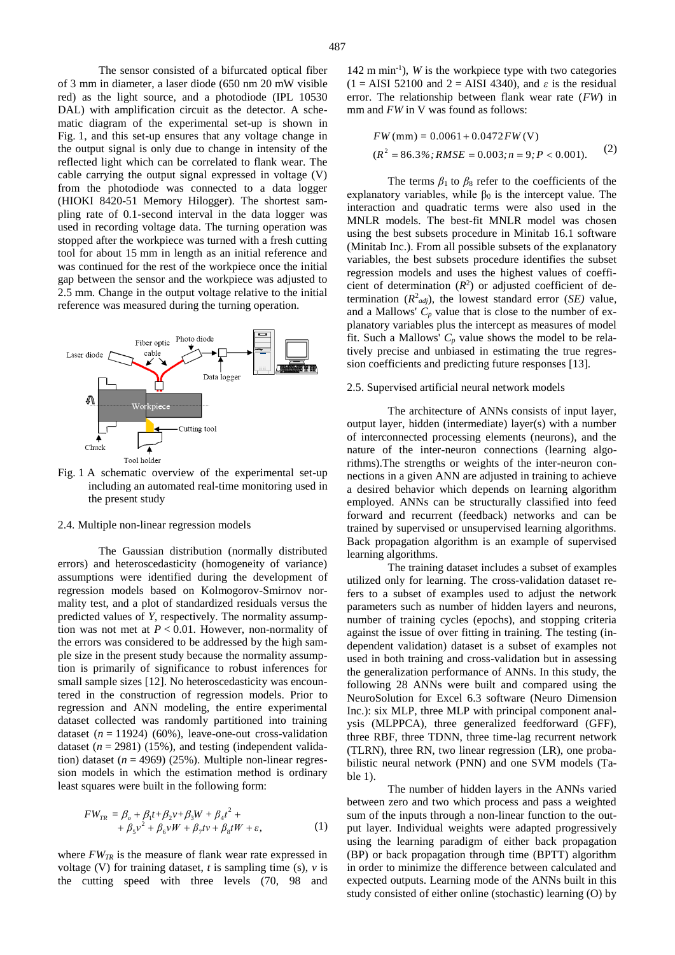The sensor consisted of a bifurcated optical fiber of 3 mm in diameter, a laser diode (650 nm 20 mW visible red) as the light source, and a photodiode (IPL 10530 DAL) with amplification circuit as the detector. A schematic diagram of the experimental set-up is shown in Fig. 1, and this set-up ensures that any voltage change in the output signal is only due to change in intensity of the reflected light which can be correlated to flank wear. The cable carrying the output signal expressed in voltage (V) from the photodiode was connected to a data logger (HIOKI 8420-51 Memory Hilogger). The shortest sampling rate of 0.1-second interval in the data logger was used in recording voltage data. The turning operation was stopped after the workpiece was turned with a fresh cutting tool for about 15 mm in length as an initial reference and was continued for the rest of the workpiece once the initial gap between the sensor and the workpiece was adjusted to 2.5 mm. Change in the output voltage relative to the initial reference was measured during the turning operation.



Fig. 1 A schematic overview of the experimental set-up including an automated real-time monitoring used in the present study

#### 2.4. Multiple non-linear regression models

The Gaussian distribution (normally distributed errors) and heteroscedasticity (homogeneity of variance) assumptions were identified during the development of regression models based on Kolmogorov-Smirnov normality test, and a plot of standardized residuals versus the predicted values of *Y*, respectively. The normality assumption was not met at  $P < 0.01$ . However, non-normality of the errors was considered to be addressed by the high sample size in the present study because the normality assumption is primarily of significance to robust inferences for small sample sizes [12]. No heteroscedasticity was encountered in the construction of regression models. Prior to regression and ANN modeling, the entire experimental dataset collected was randomly partitioned into training dataset  $(n = 11924)$  (60%), leave-one-out cross-validation dataset  $(n = 2981)$  (15%), and testing (independent validation) dataset  $(n = 4969)$  (25%). Multiple non-linear regression models in which the estimation method is ordinary least squares were built in the following form:

$$
FW_{TR} = \beta_o + \beta_1 t + \beta_2 v + \beta_3 W + \beta_4 t^2 +
$$
  
+  $\beta_5 v^2 + \beta_6 v W + \beta_7 t v + \beta_8 t W + \varepsilon,$  (1)

where  $FW_{TR}$  is the measure of flank wear rate expressed in voltage (V) for training dataset, *t* is sampling time (s), *v* is the cutting speed with three levels (70, 98 and

142 m min-1 ), *W* is the workpiece type with two categories  $(1 = AISI 52100$  and  $2 = AISI 4340$ , and  $\varepsilon$  is the residual error. The relationship between flank wear rate (*FW*) in mm and *FW* in V was found as follows:

$$
FW (mm) = 0.0061 + 0.0472 FW (V)
$$
  
( $R^2$  = 86.3%;  $RMSE$  = 0.003;  $n = 9$ ;  $P < 0.001$ ). (2)

The terms  $\beta_1$  to  $\beta_8$  refer to the coefficients of the explanatory variables, while  $\beta_0$  is the intercept value. The interaction and quadratic terms were also used in the MNLR models. The best-fit MNLR model was chosen using the best subsets procedure in Minitab 16.1 software (Minitab Inc.). From all possible subsets of the explanatory variables, the best subsets procedure identifies the subset regression models and uses the highest values of coefficient of determination  $(R^2)$  or adjusted coefficient of determination  $(R^2_{adj})$ , the lowest standard error  $(SE)$  value, and a Mallows'  $C_p$  value that is close to the number of explanatory variables plus the intercept as measures of model fit. Such a Mallows'  $C_p$  value shows the model to be relatively precise and unbiased in estimating the true regression coefficients and predicting future responses [13].

#### 2.5. Supervised artificial neural network models

The architecture of ANNs consists of input layer, output layer, hidden (intermediate) layer(s) with a number of interconnected processing elements (neurons), and the nature of the inter-neuron connections (learning algorithms).The strengths or weights of the inter-neuron connections in a given ANN are adjusted in training to achieve a desired behavior which depends on learning algorithm employed. ANNs can be structurally classified into feed forward and recurrent (feedback) networks and can be trained by supervised or unsupervised learning algorithms. Back propagation algorithm is an example of supervised learning algorithms.

The training dataset includes a subset of examples utilized only for learning. The cross-validation dataset refers to a subset of examples used to adjust the network parameters such as number of hidden layers and neurons, number of training cycles (epochs), and stopping criteria against the issue of over fitting in training. The testing (independent validation) dataset is a subset of examples not used in both training and cross-validation but in assessing the generalization performance of ANNs. In this study, the following 28 ANNs were built and compared using the NeuroSolution for Excel 6.3 software (Neuro Dimension Inc.): six MLP, three MLP with principal component analysis (MLPPCA), three generalized feedforward (GFF), three RBF, three TDNN, three time-lag recurrent network (TLRN), three RN, two linear regression (LR), one probabilistic neural network (PNN) and one SVM models (Table 1).

The number of hidden layers in the ANNs varied between zero and two which process and pass a weighted sum of the inputs through a non-linear function to the output layer. Individual weights were adapted progressively using the learning paradigm of either back propagation (BP) or back propagation through time (BPTT) algorithm in order to minimize the difference between calculated and expected outputs. Learning mode of the ANNs built in this study consisted of either online (stochastic) learning (O) by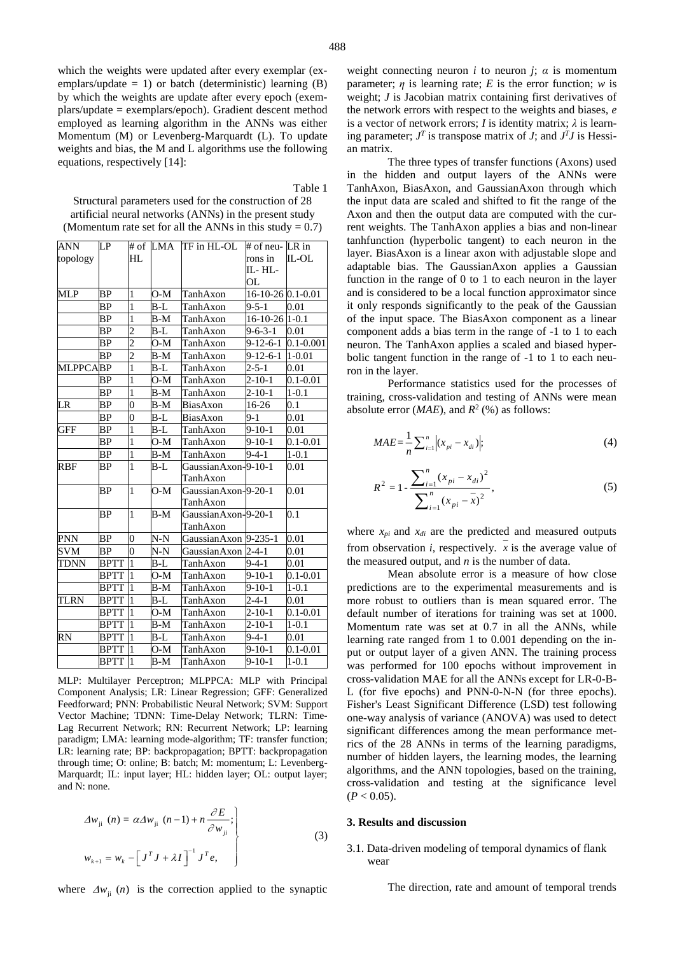which the weights were updated after every exemplar (exemplars/update  $= 1$ ) or batch (deterministic) learning (B) by which the weights are update after every epoch (exemplars/update = exemplars/epoch). Gradient descent method employed as learning algorithm in the ANNs was either Momentum (M) or Levenberg-Marquardt (L). To update weights and bias, the M and L algorithms use the following equations, respectively [14]:

Table 1 Structural parameters used for the construction of 28 artificial neural networks (ANNs) in the present study (Momentum rate set for all the ANNs in this study  $= 0.7$ )

| ANN             | LP   |                          |       | # of LMA ITF in HL-OL | # of neu-LR in    |               |
|-----------------|------|--------------------------|-------|-----------------------|-------------------|---------------|
| topology        |      | HL                       |       |                       | rons in           | IL-OL         |
|                 |      |                          |       |                       | IL- HL-           |               |
|                 |      |                          |       |                       | OL                |               |
| <b>MLP</b>      | BP   | $\mathbf{1}$             | O-M   | TanhAxon              | 16-10-26 0.1-0.01 |               |
|                 | ВP   | 1                        | B-L   | TanhAxon              | $9 - 5 - 1$       | $0.01\,$      |
|                 | ВP   | 1                        | B-M   | TanhAxon              | 16-10-26 1-0.1    |               |
|                 | ВP   | $\mathcal{P}$            | B-L   | TanhAxon              | $9 - 6 - 3 - 1$   | 0.01          |
|                 | ВP   | $\mathcal{D}$            | $O-M$ | TanhAxon              | $9 - 12 - 6 - 1$  | $0.1 - 0.001$ |
|                 | BP   | $\overline{\mathcal{L}}$ | B-M   | TanhAxon              | $9-12-6-1$        | $1 - 0.01$    |
| <b>MLPPCABP</b> |      | 1                        | B-L   | TanhAxon              | $2 - 5 - 1$       | $\rm 0.01$    |
|                 | ΒP   | 1                        | O-M   | TanhAxon              | 2-10-1            | $0.1 - 0.01$  |
|                 | ВP   | 1                        | B-M   | TanhAxon              | 2-10-1            | $1 - 0.1$     |
| LR              | ВP   | 0                        | B-M   | BiasAxon              | 16-26             | 0.1           |
|                 | BP   | $\overline{0}$           | B-L   | BiasAxon              | $9-1$             | $0.01\,$      |
| <b>GFF</b>      | ВP   | 1                        | B-L   | TanhAxon              | $9 - 10 - 1$      | 0.01          |
|                 | BΡ   | $\mathbf{1}$             | O-M   | TanhAxon              | 9-10-1            | $0.1 - 0.01$  |
|                 | ΒP   | 1                        | B-M   | TanhAxon              | 9-4-1             | $1 - 0.1$     |
| <b>RBF</b>      | ΒP   | 1                        | B-L   | GaussianAxon-9-10-1   |                   | 0.01          |
|                 |      |                          |       | TanhAxon              |                   |               |
|                 | ΒP   | 1                        | O-M   | GaussianAxon-9-20-1   |                   | 0.01          |
|                 |      |                          |       | TanhAxon              |                   |               |
|                 | ВP   | $\mathbf{1}$             | B-M   | GaussianAxon-9-20-1   |                   | 0.1           |
|                 |      |                          |       | TanhAxon              |                   |               |
| PNN             | BP   | 0                        | $N-N$ | GaussianAxon 9-235-1  |                   | $0.01\,$      |
| <b>SVM</b>      | BP   | $\overline{0}$           | $N-N$ | GaussianAxon          | $2 - 4 - 1$       | 0.01          |
| TDNN            | BPTT | 1                        | B-L   | TanhAxon              | 9-4-1             | $0.01\,$      |
|                 | BPTT | 1                        | O-M   | TanhAxon              | 9-10-1            | $0.1 - 0.01$  |
|                 | BPTT | 1                        | B-M   | TanhAxon              | 9-10-1            | $1 - 0.1$     |
| TLRN            | BPTT | 1                        | B-L   | TanhAxon              | 2-4-1             | $0.01\,$      |
|                 | BPTT | 1                        | O-M   | TanhAxon              | 2-10-1            | $0.1 - 0.01$  |
|                 | BPTT | 1                        | B-M   | TanhAxon              | 2-10-1            | $1 - 0.1$     |
| RN              | BPTT | 1                        | B-L   | TanhAxon              | 9-4-1             | $0.01\,$      |
|                 | BPTT | 1                        | O-M   | TanhAxon              | 9-10-1            | $0.1 - 0.01$  |
|                 | BPTT | 1                        | B-M   | TanhAxon              | 9-10-1            | $1 - 0.1$     |

MLP: Multilayer Perceptron; MLPPCA: MLP with Principal Component Analysis; LR: Linear Regression; GFF: Generalized Feedforward; PNN: Probabilistic Neural Network; SVM: Support Vector Machine; TDNN: Time-Delay Network; TLRN: Time-Lag Recurrent Network; RN: Recurrent Network; LP: learning paradigm; LMA: learning mode-algorithm; TF: transfer function; LR: learning rate; BP: backpropagation; BPTT: backpropagation through time; O: online; B: batch; M: momentum; L: Levenberg-Marquardt; IL: input layer; HL: hidden layer; OL: output layer; and N: none.

$$
\Delta w_{ji} (n) = \alpha \Delta w_{ji} (n-1) + n \frac{\partial E}{\partial w_{ji}};
$$
\n
$$
w_{k+1} = w_k - \left[ J^T J + \lambda I \right]^{-1} J^T e,
$$
\n(3)

where  $\Delta w_{ji}$  (*n*) is the correction applied to the synaptic

weight connecting neuron *i* to neuron *j*;  $\alpha$  is momentum parameter;  $\eta$  is learning rate; *E* is the error function; *w* is weight; *J* is Jacobian matrix containing first derivatives of the network errors with respect to the weights and biases, *e* is a vector of network errors; *I* is identity matrix;  $\lambda$  is learning parameter;  $J<sup>T</sup>$  is transpose matrix of *J*; and  $J<sup>T</sup>J$  is Hessian matrix.

The three types of transfer functions (Axons) used in the hidden and output layers of the ANNs were TanhAxon, BiasAxon, and GaussianAxon through which the input data are scaled and shifted to fit the range of the Axon and then the output data are computed with the current weights. The TanhAxon applies a bias and non-linear tanhfunction (hyperbolic tangent) to each neuron in the layer. BiasAxon is a linear axon with adjustable slope and adaptable bias. The GaussianAxon applies a Gaussian function in the range of 0 to 1 to each neuron in the layer and is considered to be a local function approximator since it only responds significantly to the peak of the Gaussian of the input space. The BiasAxon component as a linear component adds a bias term in the range of -1 to 1 to each neuron. The TanhAxon applies a scaled and biased hyperbolic tangent function in the range of -1 to 1 to each neuron in the layer.

Performance statistics used for the processes of training, cross-validation and testing of ANNs were mean absolute error ( $MAE$ ), and  $R^2$  (%) as follows:

$$
MAE = \frac{1}{n} \sum_{i=1}^{n} |(x_{pi} - x_{di})|; \tag{4}
$$

$$
R^{2} = 1 - \frac{\sum_{i=1}^{n} (x_{pi} - x_{di})^{2}}{\sum_{i=1}^{n} (x_{pi} - \overline{x})^{2}},
$$
\n(5)

where  $x_{pi}$  and  $x_{di}$  are the predicted and measured outputs from observation *i*, respectively. *x* is the average value of the measured output, and *n* is the number of data.

Mean absolute error is a measure of how close predictions are to the experimental measurements and is more robust to outliers than is mean squared error. The default number of iterations for training was set at 1000. Momentum rate was set at 0.7 in all the ANNs, while learning rate ranged from 1 to 0.001 depending on the input or output layer of a given ANN. The training process was performed for 100 epochs without improvement in cross-validation MAE for all the ANNs except for LR-0-B-L (for five epochs) and PNN-0-N-N (for three epochs). Fisher's Least Significant Difference (LSD) test following one-way analysis of variance (ANOVA) was used to detect significant differences among the mean performance metrics of the 28 ANNs in terms of the learning paradigms, number of hidden layers, the learning modes, the learning algorithms, and the ANN topologies, based on the training, cross-validation and testing at the significance level  $(P < 0.05)$ .

#### **3. Results and discussion**

### 3.1. Data-driven modeling of temporal dynamics of flank wear

The direction, rate and amount of temporal trends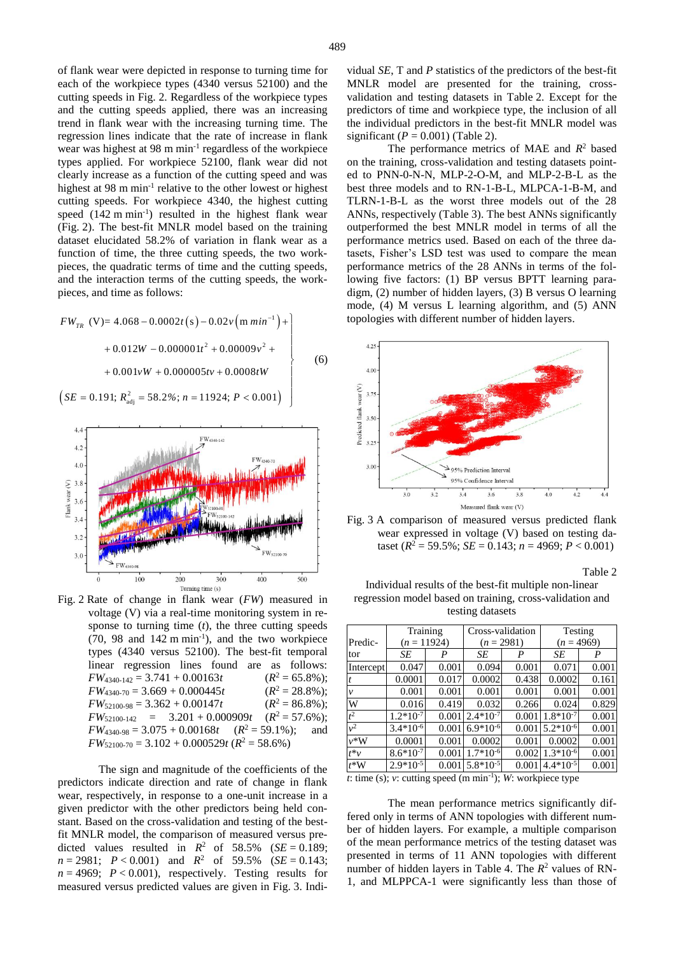of flank wear were depicted in response to turning time for each of the workpiece types (4340 versus 52100) and the cutting speeds in Fig. 2. Regardless of the workpiece types and the cutting speeds applied, there was an increasing trend in flank wear with the increasing turning time. The regression lines indicate that the rate of increase in flank wear was highest at 98 m min<sup>-1</sup> regardless of the workpiece types applied. For workpiece 52100, flank wear did not clearly increase as a function of the cutting speed and was highest at 98 m min<sup>-1</sup> relative to the other lowest or highest cutting speeds. For workpiece 4340, the highest cutting speed (142 m min<sup>-1</sup>) resulted in the highest flank wear (Fig. 2). The best-fit MNLR model based on the training dataset elucidated 58.2% of variation in flank wear as a function of time, the three cutting speeds, the two workpieces, the quadratic terms of time and the cutting speeds, and the interaction terms of the cutting speeds, the workpieces, and time as follows:

$$
FW_{TR} (V) = 4.068 - 0.0002t (s) - 0.02v (m min-1) ++ 0.012W - 0.000001t2 + 0.00009v2 ++ 0.001vW + 0.000005tv + 0.0008tW(SE = 0.191; Radj2 = 58.2%; n = 11924; P < 0.001)
$$
 (6)



Fig. 2 Rate of change in flank wear (*FW*) measured in voltage (V) via a real-time monitoring system in response to turning time (*t*), the three cutting speeds (70, 98 and 142 m min-1 ), and the two workpiece types (4340 versus 52100). The best-fit temporal linear regression lines found are as follows:  $FW<sub>4340-142</sub> = 3.741 + 0.00163t$  $(R^2 = 65.8\%)$ ;  $FW<sub>4340-70</sub> = 3.669 + 0.000445t$  $(R^2 = 28.8\%)$ ;  $FW_{52100-98} = 3.362 + 0.00147t$  $(R^2 = 86.8\%)$ ;  $FW_{52100-142}$  = 3.201 + 0.000909*t* ( $R^2 = 57.6\%$ );  $FW<sub>4340-98</sub> = 3.075 + 0.00168t$  $(R^2 = 59.1\%)$ ; and  $FW_{52100-70} = 3.102 + 0.000529t (R^2 = 58.6\%)$ 

The sign and magnitude of the coefficients of the predictors indicate direction and rate of change in flank wear, respectively, in response to a one-unit increase in a given predictor with the other predictors being held constant. Based on the cross-validation and testing of the bestfit MNLR model, the comparison of measured versus predicted values resulted in  $R^2$  of 58.5% (*SE* = 0.189;  $n = 2981$ ;  $P < 0.001$ ) and  $R^2$  of 59.5% (*SE* = 0.143;  $n = 4969$ ;  $P < 0.001$ ), respectively. Testing results for measured versus predicted values are given in Fig. 3. Individual *SE*, T and *P* statistics of the predictors of the best-fit MNLR model are presented for the training, crossvalidation and testing datasets in Table 2. Except for the predictors of time and workpiece type, the inclusion of all the individual predictors in the best-fit MNLR model was significant  $(P = 0.001)$  (Table 2).

The performance metrics of MAE and  $R^2$  based on the training, cross-validation and testing datasets pointed to PNN-0-N-N, MLP-2-O-M, and MLP-2-B-L as the best three models and to RN-1-B-L, MLPCA-1-B-M, and TLRN-1-B-L as the worst three models out of the 28 ANNs, respectively (Table 3). The best ANNs significantly outperformed the best MNLR model in terms of all the performance metrics used. Based on each of the three datasets, Fisher's LSD test was used to compare the mean performance metrics of the 28 ANNs in terms of the following five factors: (1) BP versus BPTT learning paradigm, (2) number of hidden layers, (3) B versus O learning mode, (4) M versus L learning algorithm, and (5) ANN topologies with different number of hidden layers.



Fig. 3 A comparison of measured versus predicted flank wear expressed in voltage (V) based on testing dataset ( $R^2 = 59.5\%$ ;  $SE = 0.143$ ;  $n = 4969$ ;  $P < 0.001$ )

Table 2

Individual results of the best-fit multiple non-linear regression model based on training, cross-validation and testing datasets

|           | Training      |       |               | Cross-validation | Testing       |       |  |
|-----------|---------------|-------|---------------|------------------|---------------|-------|--|
| Predic-   | $(n = 11924)$ |       |               | $(n = 2981)$     | $(n = 4969)$  |       |  |
| tor       | SE            | P     | SE            | P                | SE            | P     |  |
| Intercept | 0.047         | 0.001 | 0.094         | 0.001            | 0.071         | 0.001 |  |
|           | 0.0001        | 0.017 | 0.0002        | 0.438            | 0.0002        | 0.161 |  |
| ν         | 0.001         | 0.001 | 0.001         | 0.001            | 0.001         | 0.001 |  |
| W         | 0.016         | 0.419 | 0.032         | 0.266            | 0.024         | 0.829 |  |
| $t^2$     | $1.2*10^{-7}$ | 0.001 | $2.4*10^{-7}$ | 0.001            | $1.8*10^{-7}$ | 0.001 |  |
| $v^2$     | $3.4*10^{-6}$ | 0.001 | $6.9*10^{-6}$ | 0.001            | $5.2*10^{-6}$ | 0.001 |  |
| $v^*W$    | 0.0001        | 0.001 | 0.0002        | 0.001            | 0.0002        | 0.001 |  |
| $t^*v$    | $8.6*10^{-7}$ | 0.001 | $1.7*10^{-6}$ | 0.002            | $1.3*10^{-6}$ | 0.001 |  |
| $t^*W$    | $2.9*10^{-5}$ | 0.001 | $5.8*10^{-5}$ | 0.001            | $4.4*10^{-5}$ | 0.001 |  |

 $t$ : time (s);  $v$ : cutting speed (m min<sup>-1</sup>); *W*: workpiece type

The mean performance metrics significantly differed only in terms of ANN topologies with different number of hidden layers. For example, a multiple comparison of the mean performance metrics of the testing dataset was presented in terms of 11 ANN topologies with different number of hidden layers in Table 4. The  $R^2$  values of RN-1, and MLPPCA-1 were significantly less than those of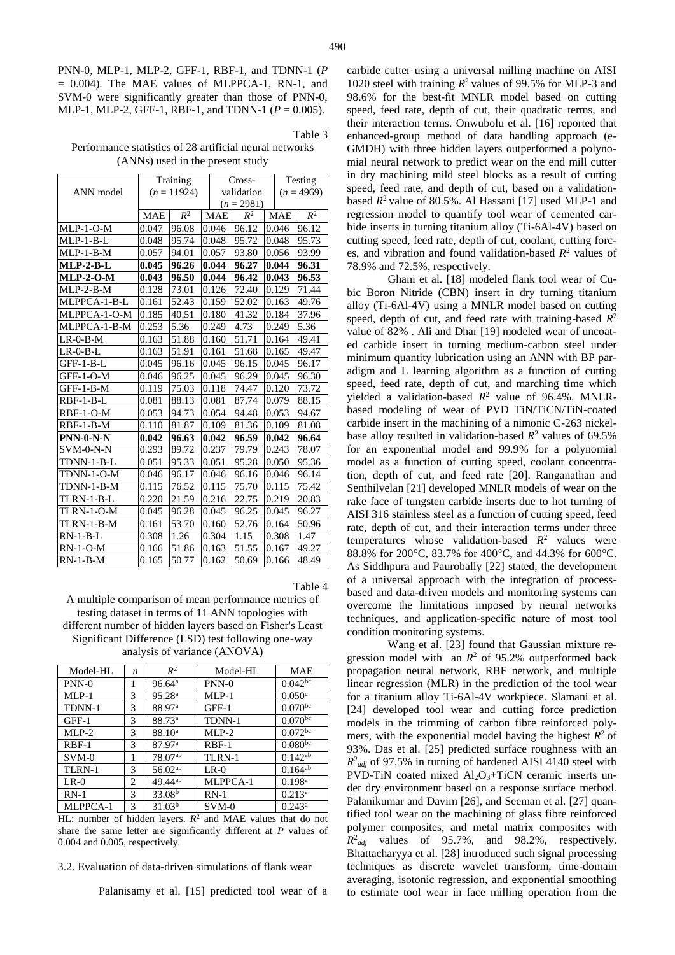PNN-0, MLP-1, MLP-2, GFF-1, RBF-1, and TDNN-1 (*P*  $= 0.004$ ). The MAE values of MLPPCA-1, RN-1, and SVM-0 were significantly greater than those of PNN-0, MLP-1, MLP-2, GFF-1, RBF-1, and TDNN-1 (*P* = 0.005).

Table 3

Performance statistics of 28 artificial neural networks (ANNs) used in the present study

|                | Training      |       |  | Cross-         |                |       | Testing      |       |
|----------------|---------------|-------|--|----------------|----------------|-------|--------------|-------|
| ANN model      | $(n = 11924)$ |       |  | validation     |                |       | $(n = 4969)$ |       |
|                |               |       |  | $(n = 2981)$   |                |       |              |       |
|                | <b>MAE</b>    | $R^2$ |  | <b>MAE</b>     | $R^2$          |       | <b>MAE</b>   | $R^2$ |
| $MLP-1-O-M$    | 0.047         | 96.08 |  | 0.046<br>96.12 |                |       | 0.046        | 96.12 |
| $MLP-1-B-L$    | 0.048         | 95.74 |  | 0.048          | 95.72          |       | 0.048        | 95.73 |
| $MLP-1-B-M$    | 0.057         | 94.01 |  | 0.057<br>93.80 |                | 0.056 |              | 93.99 |
| $MLP-2-B-L$    | 0.045         | 96.26 |  | 0.044<br>96.27 |                | 0.044 |              | 96.31 |
| $MLP-2-O-M$    | 0.043         | 96.50 |  | 0.044          | 96.42          |       | 0.043        | 96.53 |
| $MLP-2-B-M$    | 0.128         | 73.01 |  | 0.126          | 72.40          |       | 0.129        | 71.44 |
| MLPPCA-1-B-L   | 0.161         | 52.43 |  | 0.159          | 52.02          | 0.163 |              | 49.76 |
| MLPPCA-1-O-M   | 0.185         | 40.51 |  | 0.180          | 41.32          | 0.184 |              | 37.96 |
| MLPPCA-1-B-M   | 0.253         | 5.36  |  | 0.249          | 4.73           |       | 0.249        | 5.36  |
| $LR-0-B-M$     | 0.163         | 51.88 |  | 0.160          | 51.71<br>0.164 |       |              | 49.41 |
| $LR$ -0-B- $L$ | 0.163         | 51.91 |  | 0.161          | 51.68          |       | 0.165        | 49.47 |
| $GFF-1-B-L$    | 0.045         | 96.16 |  | 0.045          | 96.15          |       | 0.045        | 96.17 |
| $GFF-1-O-M$    | 0.046         | 96.25 |  | 0.045          | 96.29          |       | 0.045        | 96.30 |
| $GFF-1-B-M$    | 0.119         | 75.03 |  | 0.118          | 74.47          |       | 0.120        | 73.72 |
| $RBF-1-B-L$    | 0.081         | 88.13 |  | 0.081          | 87.74          |       | 0.079        | 88.15 |
| $RBF-1-O-M$    | 0.053         | 94.73 |  | 0.054          | 94.48<br>0.053 |       |              | 94.67 |
| RBF-1-B-M      | 0.110         | 81.87 |  | 0.109          | 81.36          |       | 0.109        | 81.08 |
| $PNN-0-N-N$    | 0.042         | 96.63 |  | 0.042          | 96.59          |       | 0.042        | 96.64 |
| $SVM-0-N-N$    | 0.293         | 89.72 |  | 0.237          | 79.79          |       | 0.243        | 78.07 |
| TDNN-1-B-L     | 0.051         | 95.33 |  | 0.051          | 95.28          |       | 0.050        | 95.36 |
| TDNN-1-O-M     | 0.046         | 96.17 |  | 0.046          | 96.16          |       | 0.046        | 96.14 |
| TDNN-1-B-M     | 0.115         | 76.52 |  | 0.115          | 75.70          |       | 0.115        | 75.42 |
| TLRN-1-B-L     | 0.220         | 21.59 |  | 0.216          | 22.75          |       | 0.219        | 20.83 |
| TLRN-1-O-M     | 0.045         | 96.28 |  | 0.045          | 96.25          |       | 0.045        | 96.27 |
| TLRN-1-B-M     | 0.161         | 53.70 |  | 0.160          | 52.76          |       | 0.164        | 50.96 |
| $RN-1-B-L$     | 0.308         | 1.26  |  | 0.304          | 1.15           |       | 0.308        | 1.47  |
| $RN-1-O-M$     | 0.166         | 51.86 |  | 0.163          | 51.55          |       | 0.167        | 49.27 |
| $RN-1-B-M$     | 0.165         | 50.77 |  | 0.162          | 50.69          |       | 0.166        | 48.49 |

Table 4

A multiple comparison of mean performance metrics of testing dataset in terms of 11 ANN topologies with different number of hidden layers based on Fisher's Least Significant Difference (LSD) test following one-way analysis of variance (ANOVA)

| Model-HL | n | $R^2$              | Model-HL          | <b>MAE</b>              |
|----------|---|--------------------|-------------------|-------------------------|
| $PNN-0$  | 1 | 96.64 <sup>a</sup> | $PNN-0$           | 0.042 <sup>bc</sup>     |
| $MLP-1$  | 3 | 95.28 <sup>a</sup> | $MLP-1$           | 0.050c                  |
| TDNN-1   | 3 | 88.97 <sup>a</sup> | $GFF-1$           | $0.070^{bc}$            |
| $GFF-1$  | 3 | 88.73 <sup>a</sup> | TDNN-1            | $0.070^{bc}$            |
| $MLP-2$  | 3 | 88.10 <sup>a</sup> | $MLP-2$           | $0.072$ bc              |
| $RBF-1$  | 3 | 87.97 <sup>a</sup> | $RBF-1$           | 0.080 <sup>bc</sup>     |
| $SVM-0$  | 1 | 78.07ab            | TLRN-1            | $0.142^{ab}$            |
| TLRN-1   | 3 | $56.02^{ab}$       | $LR-0$            | $0.164^{a\overline{b}}$ |
| $LR-0$   | 2 | $49.44^{ab}$       | MLPPCA-1          | 0.198 <sup>a</sup>      |
| $RN-1$   | 3 | 33.08 <sup>b</sup> | $RN-1$            | $0.213^a$               |
| MLPPCA-1 | 3 | 31.03 <sup>b</sup> | $SVM-0$<br>$\sim$ | $0.243^a$               |

HL: number of hidden layers.  $R^2$  and MAE values that do not share the same letter are significantly different at *P* values of 0.004 and 0.005, respectively.

## 3.2. Evaluation of data-driven simulations of flank wear

Palanisamy et al. [15] predicted tool wear of a

carbide cutter using a universal milling machine on AISI 1020 steel with training  $R^2$  values of 99.5% for MLP-3 and 98.6% for the best-fit MNLR model based on cutting speed, feed rate, depth of cut, their quadratic terms, and their interaction terms. Onwubolu et al. [16] reported that enhanced-group method of data handling approach (e-GMDH) with three hidden layers outperformed a polynomial neural network to predict wear on the end mill cutter in dry machining mild steel blocks as a result of cutting speed, feed rate, and depth of cut, based on a validationbased  $R^2$  value of 80.5%. Al Hassani [17] used MLP-1 and regression model to quantify tool wear of cemented carbide inserts in turning titanium alloy (Ti-6Al-4V) based on cutting speed, feed rate, depth of cut, coolant, cutting forces, and vibration and found validation-based  $R^2$  values of 78.9% and 72.5%, respectively.

Ghani et al. [18] modeled flank tool wear of Cubic Boron Nitride (CBN) insert in dry turning titanium alloy (Ti-6Al-4V) using a MNLR model based on cutting speed, depth of cut, and feed rate with training-based *R* 2 value of 82% . Ali and Dhar [19] modeled wear of uncoated carbide insert in turning medium-carbon steel under minimum quantity lubrication using an ANN with BP paradigm and L learning algorithm as a function of cutting speed, feed rate, depth of cut, and marching time which yielded a validation-based  $R^2$  value of 96.4%. MNLRbased modeling of wear of PVD TiN/TiCN/TiN-coated carbide insert in the machining of a nimonic C-263 nickelbase alloy resulted in validation-based  $R^2$  values of 69.5% for an exponential model and 99.9% for a polynomial model as a function of cutting speed, coolant concentration, depth of cut, and feed rate [20]. Ranganathan and Senthilvelan [21] developed MNLR models of wear on the rake face of tungsten carbide inserts due to hot turning of AISI 316 stainless steel as a function of cutting speed, feed rate, depth of cut, and their interaction terms under three temperatures whose validation-based  $R^2$  values were 88.8% for 200°C, 83.7% for 400°C, and 44.3% for 600°C. As Siddhpura and Paurobally [22] stated, the development of a universal approach with the integration of processbased and data-driven models and monitoring systems can overcome the limitations imposed by neural networks techniques, and application-specific nature of most tool condition monitoring systems.

Wang et al. [23] found that Gaussian mixture regression model with an  $R^2$  of 95.2% outperformed back propagation neural network, RBF network, and multiple linear regression (MLR) in the prediction of the tool wear for a titanium alloy Ti-6Al-4V workpiece. Slamani et al. [24] developed tool wear and cutting force prediction models in the trimming of carbon fibre reinforced polymers, with the exponential model having the highest  $R^2$  of 93%. Das et al. [25] predicted surface roughness with an  $R^2_{adj}$  of 97.5% in turning of hardened AISI 4140 steel with PVD-TiN coated mixed Al<sub>2</sub>O<sub>3</sub>+TiCN ceramic inserts under dry environment based on a response surface method. Palanikumar and Davim [26], and Seeman et al. [27] quantified tool wear on the machining of glass fibre reinforced polymer composites, and metal matrix composites with  $R^2_{adj}$  values of 95.7%, and 98.2%, respectively. Bhattacharyya et al. [28] introduced such signal processing techniques as discrete wavelet transform, time-domain averaging, isotonic regression, and exponential smoothing to estimate tool wear in face milling operation from the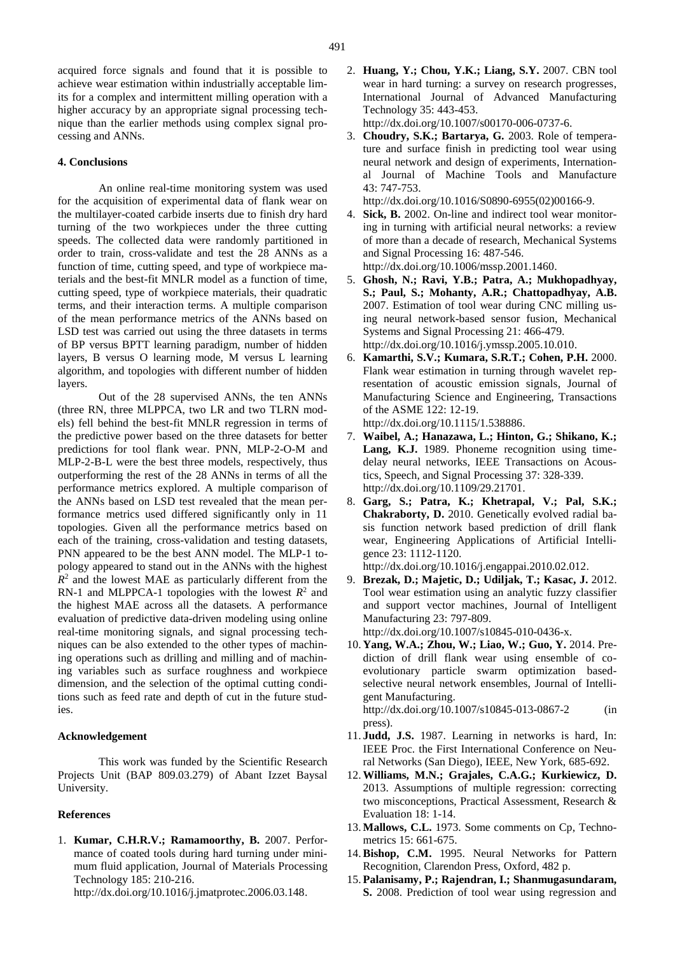acquired force signals and found that it is possible to achieve wear estimation within industrially acceptable limits for a complex and intermittent milling operation with a higher accuracy by an appropriate signal processing technique than the earlier methods using complex signal processing and ANNs.

#### **4. Conclusions**

An online real-time monitoring system was used for the acquisition of experimental data of flank wear on the multilayer-coated carbide inserts due to finish dry hard turning of the two workpieces under the three cutting speeds. The collected data were randomly partitioned in order to train, cross-validate and test the 28 ANNs as a function of time, cutting speed, and type of workpiece materials and the best-fit MNLR model as a function of time, cutting speed, type of workpiece materials, their quadratic terms, and their interaction terms. A multiple comparison of the mean performance metrics of the ANNs based on LSD test was carried out using the three datasets in terms of BP versus BPTT learning paradigm, number of hidden layers, B versus O learning mode, M versus L learning algorithm, and topologies with different number of hidden layers.

Out of the 28 supervised ANNs, the ten ANNs (three RN, three MLPPCA, two LR and two TLRN models) fell behind the best-fit MNLR regression in terms of the predictive power based on the three datasets for better predictions for tool flank wear. PNN, MLP-2-O-M and MLP-2-B-L were the best three models, respectively, thus outperforming the rest of the 28 ANNs in terms of all the performance metrics explored. A multiple comparison of the ANNs based on LSD test revealed that the mean performance metrics used differed significantly only in 11 topologies. Given all the performance metrics based on each of the training, cross-validation and testing datasets, PNN appeared to be the best ANN model. The MLP-1 topology appeared to stand out in the ANNs with the highest  $R<sup>2</sup>$  and the lowest MAE as particularly different from the RN-1 and MLPPCA-1 topologies with the lowest  $R^2$  and the highest MAE across all the datasets. A performance evaluation of predictive data-driven modeling using online real-time monitoring signals, and signal processing techniques can be also extended to the other types of machining operations such as drilling and milling and of machining variables such as surface roughness and workpiece dimension, and the selection of the optimal cutting conditions such as feed rate and depth of cut in the future studies.

#### **Acknowledgement**

This work was funded by the Scientific Research Projects Unit (BAP 809.03.279) of Abant Izzet Baysal University.

#### **References**

1. **Kumar, C.H.R.V.; Ramamoorthy, B.** 2007. Performance of coated tools during hard turning under minimum fluid application, Journal of Materials Processing Technology 185: 210-216.

http://dx.doi.org/10.1016/j.jmatprotec.2006.03.148.

2. **Huang, Y.; Chou, Y.K.; Liang, S.Y.** 2007. CBN tool wear in hard turning: a survey on research progresses, International Journal of Advanced Manufacturing Technology 35: 443-453.

http://dx.doi.org/10.1007/s00170-006-0737-6.

3. **Choudry, S.K.; Bartarya, G.** 2003. Role of temperature and surface finish in predicting tool wear using neural network and design of experiments, International Journal of Machine Tools and Manufacture 43: 747-753.

http://dx.doi.org/10.1016/S0890-6955(02)00166-9.

- 4. **Sick, B.** 2002. On-line and indirect tool wear monitoring in turning with artificial neural networks: a review of more than a decade of research, Mechanical Systems and Signal Processing 16: 487-546. http://dx.doi.org/10.1006/mssp.2001.1460.
- 5. **Ghosh, N.; Ravi, Y.B.; Patra, A.; Mukhopadhyay, S.; Paul, S.; Mohanty, A.R.; Chattopadhyay, A.B.** 2007. Estimation of tool wear during CNC milling using neural network-based sensor fusion, Mechanical Systems and Signal Processing 21: 466-479. http://dx.doi.org/10.1016/j.ymssp.2005.10.010.
- 6. **Kamarthi, S.V.; Kumara, S.R.T.; Cohen, P.H.** 2000. Flank wear estimation in turning through wavelet representation of acoustic emission signals, Journal of Manufacturing Science and Engineering, Transactions of the ASME 122: 12-19. http://dx.doi.org/10.1115/1.538886.
- 7. **Waibel, A.; Hanazawa, L.; Hinton, G.; Shikano, K.; Lang, K.J.** 1989. Phoneme recognition using timedelay neural networks, IEEE Transactions on Acoustics, Speech, and Signal Processing 37: 328-339. http://dx.doi.org/10.1109/29.21701.
- 8. **Garg, S.; Patra, K.; Khetrapal, V.; Pal, S.K.; Chakraborty, D.** 2010. Genetically evolved radial basis function network based prediction of drill flank wear, Engineering Applications of Artificial Intelligence 23: 1112-1120.

http://dx.doi.org/10.1016/j.engappai.2010.02.012.

- 9. **Brezak, D.; Majetic, D.; Udiljak, T.; Kasac, J.** 2012. Tool wear estimation using an analytic fuzzy classifier and support vector machines, Journal of Intelligent Manufacturing 23: 797-809. http://dx.doi.org/10.1007/s10845-010-0436-x.
- 10. **Yang, W.A.; Zhou, W.; Liao, W.; Guo, Y.** 2014. Prediction of drill flank wear using ensemble of coevolutionary particle swarm optimization basedselective neural network ensembles, Journal of Intelligent Manufacturing. http://dx.doi.org/10.1007/s10845-013-0867-2 (in
- press). 11. **Judd, J.S.** 1987. Learning in networks is hard, In: IEEE Proc. the First International Conference on Neural Networks (San Diego), IEEE, New York, 685-692.
- 12.**Williams, M.N.; Grajales, C.A.G.; Kurkiewicz, D.** 2013. Assumptions of multiple regression: correcting two misconceptions, Practical Assessment, Research & Evaluation 18: 1-14.
- 13. **Mallows, C.L.** 1973. Some comments on Cp, Technometrics 15: 661-675.
- 14.**Bishop, C.M.** 1995. Neural Networks for Pattern Recognition, Clarendon Press, Oxford, 482 p.
- 15. **Palanisamy, P.; Rajendran, I.; Shanmugasundaram, S.** 2008. Prediction of tool wear using regression and